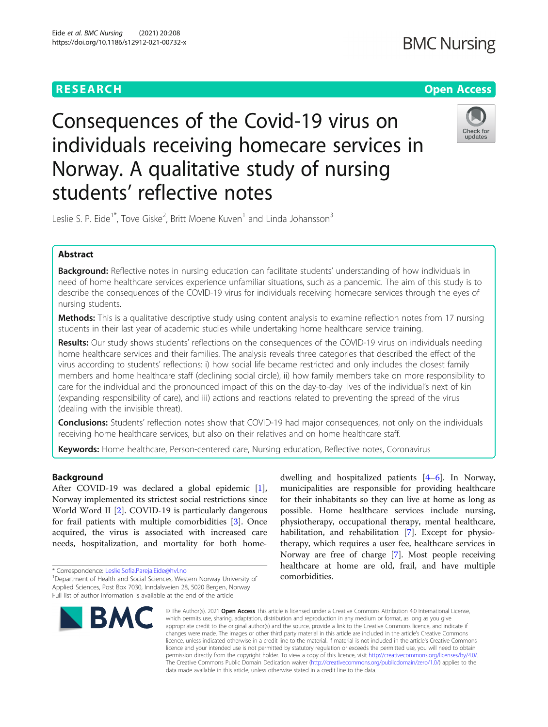## **RESEARCH CHE Open Access**

# Check for undates

Leslie S. P. Eide<sup>1\*</sup>, Tove Giske<sup>2</sup>, Britt Moene Kuven<sup>1</sup> and Linda Johansson<sup>3</sup>

students' reflective notes

Consequences of the Covid-19 virus on

Norway. A qualitative study of nursing

individuals receiving homecare services in

## Abstract

**Background:** Reflective notes in nursing education can facilitate students' understanding of how individuals in need of home healthcare services experience unfamiliar situations, such as a pandemic. The aim of this study is to describe the consequences of the COVID-19 virus for individuals receiving homecare services through the eyes of nursing students.

Methods: This is a qualitative descriptive study using content analysis to examine reflection notes from 17 nursing students in their last year of academic studies while undertaking home healthcare service training.

Results: Our study shows students' reflections on the consequences of the COVID-19 virus on individuals needing home healthcare services and their families. The analysis reveals three categories that described the effect of the virus according to students' reflections: i) how social life became restricted and only includes the closest family members and home healthcare staff (declining social circle), ii) how family members take on more responsibility to care for the individual and the pronounced impact of this on the day-to-day lives of the individual's next of kin (expanding responsibility of care), and iii) actions and reactions related to preventing the spread of the virus (dealing with the invisible threat).

**Conclusions:** Students' reflection notes show that COVID-19 had major consequences, not only on the individuals receiving home healthcare services, but also on their relatives and on home healthcare staff.

Keywords: Home healthcare, Person-centered care, Nursing education, Reflective notes, Coronavirus

## Background

After COVID-19 was declared a global epidemic [\[1](#page-7-0)], Norway implemented its strictest social restrictions since World Word II [\[2\]](#page-7-0). COVID-19 is particularly dangerous for frail patients with multiple comorbidities [[3\]](#page-7-0). Once acquired, the virus is associated with increased care needs, hospitalization, and mortality for both home-

\* Correspondence: [Leslie.Sofia.Pareja.Eide@hvl.no](mailto:Leslie.Sofia.Pareja.Eide@hvl.no) <sup>1</sup>

<sup>&</sup>lt;sup>1</sup>Department of Health and Social Sciences, Western Norway University of Applied Sciences, Post Box 7030, Inndalsveien 28, 5020 Bergen, Norway Full list of author information is available at the end of the article



dwelling and hospitalized patients [\[4](#page-8-0)–[6](#page-8-0)]. In Norway, municipalities are responsible for providing healthcare for their inhabitants so they can live at home as long as possible. Home healthcare services include nursing, physiotherapy, occupational therapy, mental healthcare, habilitation, and rehabilitation [\[7](#page-8-0)]. Except for physiotherapy, which requires a user fee, healthcare services in Norway are free of charge [\[7](#page-8-0)]. Most people receiving healthcare at home are old, frail, and have multiple comorbidities.

© The Author(s), 2021 **Open Access** This article is licensed under a Creative Commons Attribution 4.0 International License, which permits use, sharing, adaptation, distribution and reproduction in any medium or format, as long as you give appropriate credit to the original author(s) and the source, provide a link to the Creative Commons licence, and indicate if changes were made. The images or other third party material in this article are included in the article's Creative Commons licence, unless indicated otherwise in a credit line to the material. If material is not included in the article's Creative Commons licence and your intended use is not permitted by statutory regulation or exceeds the permitted use, you will need to obtain permission directly from the copyright holder. To view a copy of this licence, visit [http://creativecommons.org/licenses/by/4.0/.](http://creativecommons.org/licenses/by/4.0/) The Creative Commons Public Domain Dedication waiver [\(http://creativecommons.org/publicdomain/zero/1.0/](http://creativecommons.org/publicdomain/zero/1.0/)) applies to the data made available in this article, unless otherwise stated in a credit line to the data.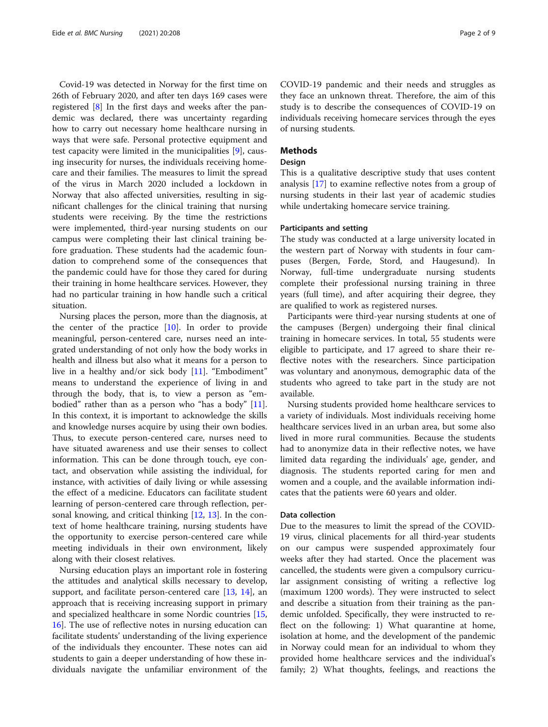Covid-19 was detected in Norway for the first time on 26th of February 2020, and after ten days 169 cases were registered [[8\]](#page-8-0) In the first days and weeks after the pandemic was declared, there was uncertainty regarding how to carry out necessary home healthcare nursing in ways that were safe. Personal protective equipment and test capacity were limited in the municipalities [[9\]](#page-8-0), causing insecurity for nurses, the individuals receiving homecare and their families. The measures to limit the spread of the virus in March 2020 included a lockdown in Norway that also affected universities, resulting in significant challenges for the clinical training that nursing students were receiving. By the time the restrictions were implemented, third-year nursing students on our campus were completing their last clinical training before graduation. These students had the academic foundation to comprehend some of the consequences that the pandemic could have for those they cared for during their training in home healthcare services. However, they had no particular training in how handle such a critical situation.

Nursing places the person, more than the diagnosis, at the center of the practice [\[10](#page-8-0)]. In order to provide meaningful, person-centered care, nurses need an integrated understanding of not only how the body works in health and illness but also what it means for a person to live in a healthy and/or sick body [[11\]](#page-8-0). "Embodiment" means to understand the experience of living in and through the body, that is, to view a person as "embodied" rather than as a person who "has a body" [\[11](#page-8-0)]. In this context, it is important to acknowledge the skills and knowledge nurses acquire by using their own bodies. Thus, to execute person-centered care, nurses need to have situated awareness and use their senses to collect information. This can be done through touch, eye contact, and observation while assisting the individual, for instance, with activities of daily living or while assessing the effect of a medicine. Educators can facilitate student learning of person-centered care through reflection, personal knowing, and critical thinking [[12,](#page-8-0) [13\]](#page-8-0). In the context of home healthcare training, nursing students have the opportunity to exercise person-centered care while meeting individuals in their own environment, likely along with their closest relatives.

Nursing education plays an important role in fostering the attitudes and analytical skills necessary to develop, support, and facilitate person-centered care [[13,](#page-8-0) [14\]](#page-8-0), an approach that is receiving increasing support in primary and specialized healthcare in some Nordic countries [[15](#page-8-0), [16\]](#page-8-0). The use of reflective notes in nursing education can facilitate students' understanding of the living experience of the individuals they encounter. These notes can aid students to gain a deeper understanding of how these individuals navigate the unfamiliar environment of the

COVID-19 pandemic and their needs and struggles as they face an unknown threat. Therefore, the aim of this study is to describe the consequences of COVID-19 on individuals receiving homecare services through the eyes of nursing students.

## Methods

#### Design

This is a qualitative descriptive study that uses content analysis [\[17](#page-8-0)] to examine reflective notes from a group of nursing students in their last year of academic studies while undertaking homecare service training.

### Participants and setting

The study was conducted at a large university located in the western part of Norway with students in four campuses (Bergen, Førde, Stord, and Haugesund). In Norway, full-time undergraduate nursing students complete their professional nursing training in three years (full time), and after acquiring their degree, they are qualified to work as registered nurses.

Participants were third-year nursing students at one of the campuses (Bergen) undergoing their final clinical training in homecare services. In total, 55 students were eligible to participate, and 17 agreed to share their reflective notes with the researchers. Since participation was voluntary and anonymous, demographic data of the students who agreed to take part in the study are not available.

Nursing students provided home healthcare services to a variety of individuals. Most individuals receiving home healthcare services lived in an urban area, but some also lived in more rural communities. Because the students had to anonymize data in their reflective notes, we have limited data regarding the individuals' age, gender, and diagnosis. The students reported caring for men and women and a couple, and the available information indicates that the patients were 60 years and older.

#### Data collection

Due to the measures to limit the spread of the COVID-19 virus, clinical placements for all third-year students on our campus were suspended approximately four weeks after they had started. Once the placement was cancelled, the students were given a compulsory curricular assignment consisting of writing a reflective log (maximum 1200 words). They were instructed to select and describe a situation from their training as the pandemic unfolded. Specifically, they were instructed to reflect on the following: 1) What quarantine at home, isolation at home, and the development of the pandemic in Norway could mean for an individual to whom they provided home healthcare services and the individual's family; 2) What thoughts, feelings, and reactions the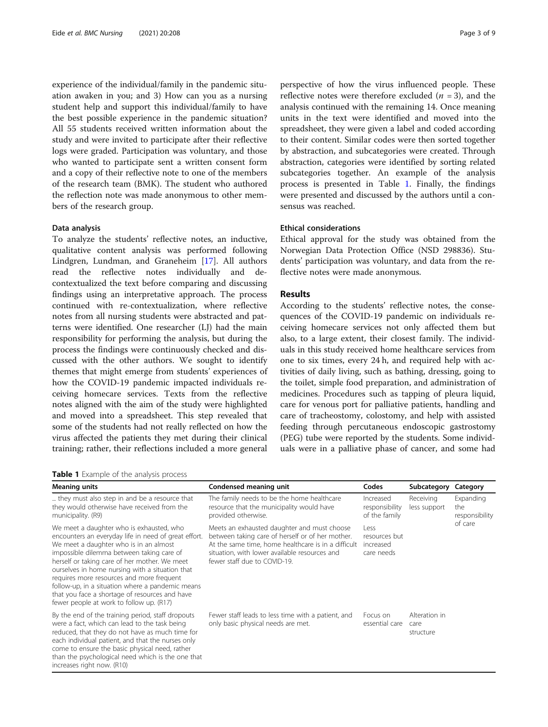experience of the individual/family in the pandemic situation awaken in you; and 3) How can you as a nursing student help and support this individual/family to have the best possible experience in the pandemic situation? All 55 students received written information about the study and were invited to participate after their reflective logs were graded. Participation was voluntary, and those who wanted to participate sent a written consent form and a copy of their reflective note to one of the members of the research team (BMK). The student who authored the reflection note was made anonymous to other members of the research group.

#### Data analysis

To analyze the students' reflective notes, an inductive, qualitative content analysis was performed following Lindgren, Lundman, and Graneheim [\[17\]](#page-8-0). All authors read the reflective notes individually and decontextualized the text before comparing and discussing findings using an interpretative approach. The process continued with re-contextualization, where reflective notes from all nursing students were abstracted and patterns were identified. One researcher (LJ) had the main responsibility for performing the analysis, but during the process the findings were continuously checked and discussed with the other authors. We sought to identify themes that might emerge from students' experiences of how the COVID-19 pandemic impacted individuals receiving homecare services. Texts from the reflective notes aligned with the aim of the study were highlighted and moved into a spreadsheet. This step revealed that some of the students had not really reflected on how the virus affected the patients they met during their clinical training; rather, their reflections included a more general

perspective of how the virus influenced people. These reflective notes were therefore excluded  $(n = 3)$ , and the analysis continued with the remaining 14. Once meaning units in the text were identified and moved into the spreadsheet, they were given a label and coded according to their content. Similar codes were then sorted together by abstraction, and subcategories were created. Through abstraction, categories were identified by sorting related subcategories together. An example of the analysis process is presented in Table 1. Finally, the findings were presented and discussed by the authors until a consensus was reached.

#### Ethical considerations

Ethical approval for the study was obtained from the Norwegian Data Protection Office (NSD 298836). Students' participation was voluntary, and data from the reflective notes were made anonymous.

## Results

According to the students' reflective notes, the consequences of the COVID-19 pandemic on individuals receiving homecare services not only affected them but also, to a large extent, their closest family. The individuals in this study received home healthcare services from one to six times, every 24 h, and required help with activities of daily living, such as bathing, dressing, going to the toilet, simple food preparation, and administration of medicines. Procedures such as tapping of pleura liquid, care for venous port for palliative patients, handling and care of tracheostomy, colostomy, and help with assisted feeding through percutaneous endoscopic gastrostomy (PEG) tube were reported by the students. Some individuals were in a palliative phase of cancer, and some had

Table 1 Example of the analysis process

| <b>Meaning units</b>                                                                                                                                                                                                                                                                                                                                                                                                                                                                       | Condensed meaning unit                                                                                                                                                                                                                  | Codes                                            | Subcategory                        | Category                                      |
|--------------------------------------------------------------------------------------------------------------------------------------------------------------------------------------------------------------------------------------------------------------------------------------------------------------------------------------------------------------------------------------------------------------------------------------------------------------------------------------------|-----------------------------------------------------------------------------------------------------------------------------------------------------------------------------------------------------------------------------------------|--------------------------------------------------|------------------------------------|-----------------------------------------------|
| they must also step in and be a resource that<br>they would otherwise have received from the<br>municipality. (R9)                                                                                                                                                                                                                                                                                                                                                                         | The family needs to be the home healthcare<br>resource that the municipality would have<br>provided otherwise.                                                                                                                          | Increased<br>responsibility<br>of the family     | Receiving<br>less support          | Expanding<br>the<br>responsibility<br>of care |
| We meet a daughter who is exhausted, who<br>encounters an everyday life in need of great effort.<br>We meet a daughter who is in an almost<br>impossible dilemma between taking care of<br>herself or taking care of her mother. We meet<br>ourselves in home nursing with a situation that<br>requires more resources and more frequent<br>follow-up, in a situation where a pandemic means<br>that you face a shortage of resources and have<br>fewer people at work to follow up. (R17) | Meets an exhausted daughter and must choose<br>between taking care of herself or of her mother.<br>At the same time, home healthcare is in a difficult<br>situation, with lower available resources and<br>fewer staff due to COVID-19. | Less<br>resources but<br>increased<br>care needs |                                    |                                               |
| By the end of the training period, staff dropouts<br>were a fact, which can lead to the task being<br>reduced, that they do not have as much time for<br>each individual patient, and that the nurses only<br>come to ensure the basic physical need, rather<br>than the psychological need which is the one that<br>increases right now. (R10)                                                                                                                                            | Fewer staff leads to less time with a patient, and<br>only basic physical needs are met.                                                                                                                                                | Focus on<br>essential care                       | Alteration in<br>care<br>structure |                                               |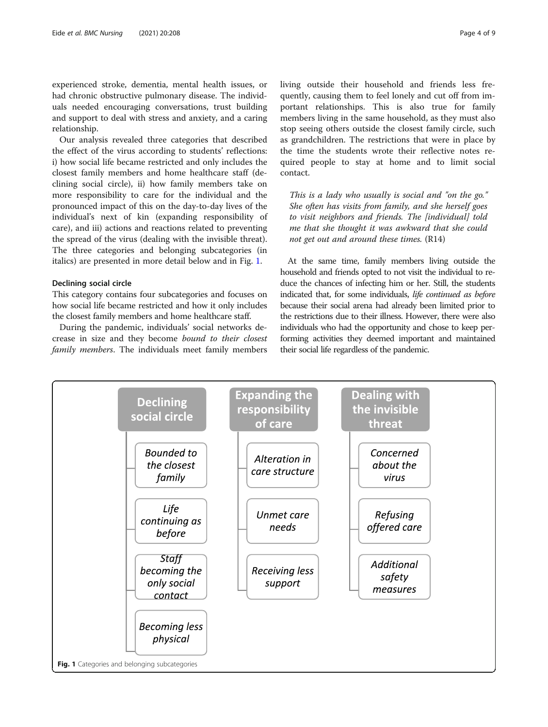experienced stroke, dementia, mental health issues, or had chronic obstructive pulmonary disease. The individuals needed encouraging conversations, trust building and support to deal with stress and anxiety, and a caring relationship.

Our analysis revealed three categories that described the effect of the virus according to students' reflections: i) how social life became restricted and only includes the closest family members and home healthcare staff (declining social circle), ii) how family members take on more responsibility to care for the individual and the pronounced impact of this on the day-to-day lives of the individual's next of kin (expanding responsibility of care), and iii) actions and reactions related to preventing the spread of the virus (dealing with the invisible threat). The three categories and belonging subcategories (in italics) are presented in more detail below and in Fig. 1.

#### Declining social circle

This category contains four subcategories and focuses on how social life became restricted and how it only includes the closest family members and home healthcare staff.

During the pandemic, individuals' social networks decrease in size and they become bound to their closest family members. The individuals meet family members living outside their household and friends less frequently, causing them to feel lonely and cut off from important relationships. This is also true for family members living in the same household, as they must also stop seeing others outside the closest family circle, such as grandchildren. The restrictions that were in place by the time the students wrote their reflective notes re-

This is a lady who usually is social and "on the go." She often has visits from family, and she herself goes to visit neighbors and friends. The [individual] told me that she thought it was awkward that she could not get out and around these times. (R14)

quired people to stay at home and to limit social

At the same time, family members living outside the household and friends opted to not visit the individual to reduce the chances of infecting him or her. Still, the students indicated that, for some individuals, life continued as before because their social arena had already been limited prior to the restrictions due to their illness. However, there were also individuals who had the opportunity and chose to keep performing activities they deemed important and maintained their social life regardless of the pandemic.



contact.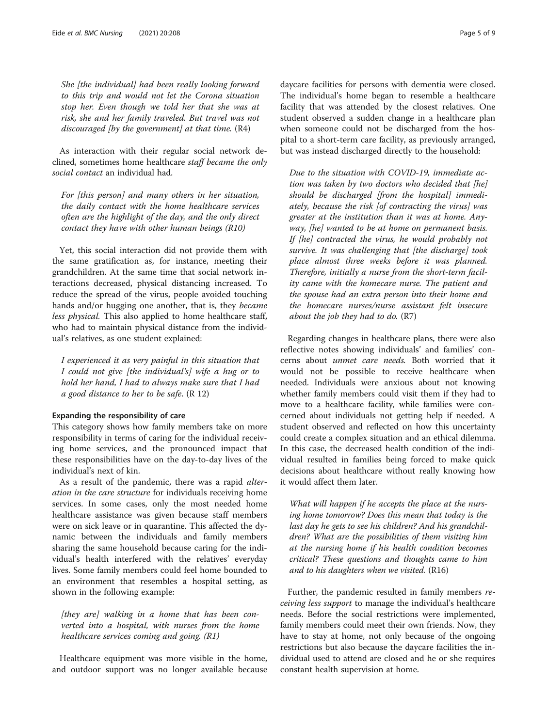She [the individual] had been really looking forward to this trip and would not let the Corona situation stop her. Even though we told her that she was at risk, she and her family traveled. But travel was not discouraged  $[$ by the government $]$  at that time.  $(R4)$ 

As interaction with their regular social network declined, sometimes home healthcare staff became the only social contact an individual had.

For [this person] and many others in her situation, the daily contact with the home healthcare services often are the highlight of the day, and the only direct contact they have with other human beings (R10)

Yet, this social interaction did not provide them with the same gratification as, for instance, meeting their grandchildren. At the same time that social network interactions decreased, physical distancing increased. To reduce the spread of the virus, people avoided touching hands and/or hugging one another, that is, they became less physical. This also applied to home healthcare staff, who had to maintain physical distance from the individual's relatives, as one student explained:

I experienced it as very painful in this situation that I could not give [the individual's] wife a hug or to hold her hand, I had to always make sure that I had a good distance to her to be safe.  $(R 12)$ 

#### Expanding the responsibility of care

This category shows how family members take on more responsibility in terms of caring for the individual receiving home services, and the pronounced impact that these responsibilities have on the day-to-day lives of the individual's next of kin.

As a result of the pandemic, there was a rapid alteration in the care structure for individuals receiving home services. In some cases, only the most needed home healthcare assistance was given because staff members were on sick leave or in quarantine. This affected the dynamic between the individuals and family members sharing the same household because caring for the individual's health interfered with the relatives' everyday lives. Some family members could feel home bounded to an environment that resembles a hospital setting, as shown in the following example:

[they are] walking in a home that has been converted into a hospital, with nurses from the home healthcare services coming and going. (R1)

Healthcare equipment was more visible in the home, and outdoor support was no longer available because

daycare facilities for persons with dementia were closed. The individual's home began to resemble a healthcare facility that was attended by the closest relatives. One student observed a sudden change in a healthcare plan when someone could not be discharged from the hospital to a short-term care facility, as previously arranged, but was instead discharged directly to the household:

Due to the situation with COVID-19, immediate action was taken by two doctors who decided that [he] should be discharged [from the hospital] immediately, because the risk [of contracting the virus] was greater at the institution than it was at home. Anyway, [he] wanted to be at home on permanent basis. If [he] contracted the virus, he would probably not survive. It was challenging that [the discharge] took place almost three weeks before it was planned. Therefore, initially a nurse from the short-term facility came with the homecare nurse. The patient and the spouse had an extra person into their home and the homecare nurses/nurse assistant felt insecure about the job they had to do. (R7)

Regarding changes in healthcare plans, there were also reflective notes showing individuals' and families' concerns about unmet care needs. Both worried that it would not be possible to receive healthcare when needed. Individuals were anxious about not knowing whether family members could visit them if they had to move to a healthcare facility, while families were concerned about individuals not getting help if needed. A student observed and reflected on how this uncertainty could create a complex situation and an ethical dilemma. In this case, the decreased health condition of the individual resulted in families being forced to make quick decisions about healthcare without really knowing how it would affect them later.

What will happen if he accepts the place at the nursing home tomorrow? Does this mean that today is the last day he gets to see his children? And his grandchildren? What are the possibilities of them visiting him at the nursing home if his health condition becomes critical? These questions and thoughts came to him and to his daughters when we visited. (R16)

Further, the pandemic resulted in family members receiving less support to manage the individual's healthcare needs. Before the social restrictions were implemented, family members could meet their own friends. Now, they have to stay at home, not only because of the ongoing restrictions but also because the daycare facilities the individual used to attend are closed and he or she requires constant health supervision at home.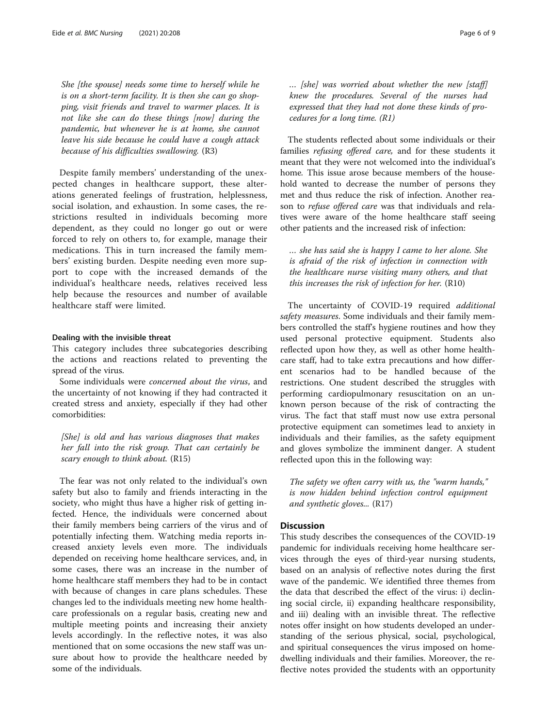She [the spouse] needs some time to herself while he is on a short-term facility. It is then she can go shopping, visit friends and travel to warmer places. It is not like she can do these things [now] during the pandemic, but whenever he is at home, she cannot leave his side because he could have a cough attack because of his difficulties swallowing. (R3)

Despite family members' understanding of the unexpected changes in healthcare support, these alterations generated feelings of frustration, helplessness, social isolation, and exhaustion. In some cases, the restrictions resulted in individuals becoming more dependent, as they could no longer go out or were forced to rely on others to, for example, manage their medications. This in turn increased the family members' existing burden. Despite needing even more support to cope with the increased demands of the individual's healthcare needs, relatives received less help because the resources and number of available healthcare staff were limited.

#### Dealing with the invisible threat

This category includes three subcategories describing the actions and reactions related to preventing the spread of the virus.

Some individuals were concerned about the virus, and the uncertainty of not knowing if they had contracted it created stress and anxiety, especially if they had other comorbidities:

[She] is old and has various diagnoses that makes her fall into the risk group. That can certainly be scary enough to think about. (R15)

The fear was not only related to the individual's own safety but also to family and friends interacting in the society, who might thus have a higher risk of getting infected. Hence, the individuals were concerned about their family members being carriers of the virus and of potentially infecting them. Watching media reports increased anxiety levels even more. The individuals depended on receiving home healthcare services, and, in some cases, there was an increase in the number of home healthcare staff members they had to be in contact with because of changes in care plans schedules. These changes led to the individuals meeting new home healthcare professionals on a regular basis, creating new and multiple meeting points and increasing their anxiety levels accordingly. In the reflective notes, it was also mentioned that on some occasions the new staff was unsure about how to provide the healthcare needed by some of the individuals.

… [she] was worried about whether the new [staff] knew the procedures. Several of the nurses had expressed that they had not done these kinds of procedures for a long time. (R1)

The students reflected about some individuals or their families refusing offered care, and for these students it meant that they were not welcomed into the individual's home. This issue arose because members of the household wanted to decrease the number of persons they met and thus reduce the risk of infection. Another reason to refuse offered care was that individuals and relatives were aware of the home healthcare staff seeing other patients and the increased risk of infection:

… she has said she is happy I came to her alone. She is afraid of the risk of infection in connection with the healthcare nurse visiting many others, and that this increases the risk of infection for her. (R10)

The uncertainty of COVID-19 required additional safety measures. Some individuals and their family members controlled the staff's hygiene routines and how they used personal protective equipment. Students also reflected upon how they, as well as other home healthcare staff, had to take extra precautions and how different scenarios had to be handled because of the restrictions. One student described the struggles with performing cardiopulmonary resuscitation on an unknown person because of the risk of contracting the virus. The fact that staff must now use extra personal protective equipment can sometimes lead to anxiety in individuals and their families, as the safety equipment and gloves symbolize the imminent danger. A student reflected upon this in the following way:

The safety we often carry with us, the "warm hands," is now hidden behind infection control equipment and synthetic gloves... (R17)

## **Discussion**

This study describes the consequences of the COVID-19 pandemic for individuals receiving home healthcare services through the eyes of third-year nursing students, based on an analysis of reflective notes during the first wave of the pandemic. We identified three themes from the data that described the effect of the virus: i) declining social circle, ii) expanding healthcare responsibility, and iii) dealing with an invisible threat. The reflective notes offer insight on how students developed an understanding of the serious physical, social, psychological, and spiritual consequences the virus imposed on homedwelling individuals and their families. Moreover, the reflective notes provided the students with an opportunity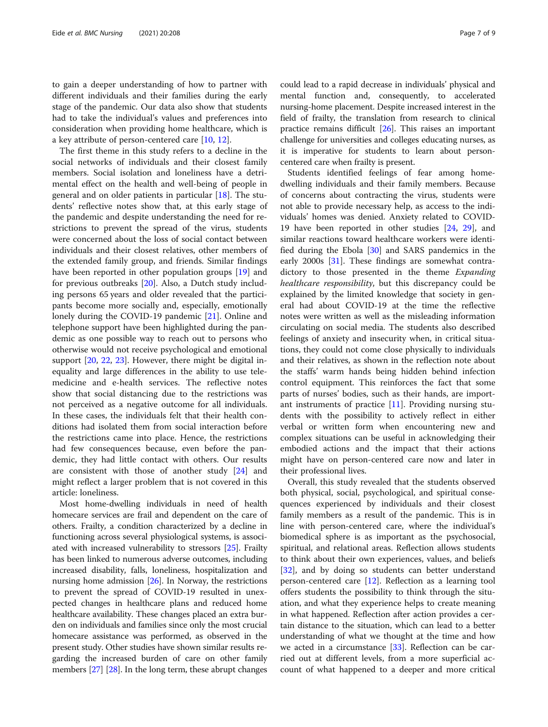to gain a deeper understanding of how to partner with different individuals and their families during the early stage of the pandemic. Our data also show that students had to take the individual's values and preferences into consideration when providing home healthcare, which is a key attribute of person-centered care [[10](#page-8-0), [12](#page-8-0)].

The first theme in this study refers to a decline in the social networks of individuals and their closest family members. Social isolation and loneliness have a detrimental effect on the health and well-being of people in general and on older patients in particular [\[18\]](#page-8-0). The students' reflective notes show that, at this early stage of the pandemic and despite understanding the need for restrictions to prevent the spread of the virus, students were concerned about the loss of social contact between individuals and their closest relatives, other members of the extended family group, and friends. Similar findings have been reported in other population groups [[19\]](#page-8-0) and for previous outbreaks [[20](#page-8-0)]. Also, a Dutch study including persons 65 years and older revealed that the participants become more socially and, especially, emotionally lonely during the COVID-19 pandemic [[21](#page-8-0)]. Online and telephone support have been highlighted during the pandemic as one possible way to reach out to persons who otherwise would not receive psychological and emotional support [[20,](#page-8-0) [22,](#page-8-0) [23](#page-8-0)]. However, there might be digital inequality and large differences in the ability to use telemedicine and e-health services. The reflective notes show that social distancing due to the restrictions was not perceived as a negative outcome for all individuals. In these cases, the individuals felt that their health conditions had isolated them from social interaction before the restrictions came into place. Hence, the restrictions had few consequences because, even before the pandemic, they had little contact with others. Our results are consistent with those of another study [[24](#page-8-0)] and might reflect a larger problem that is not covered in this article: loneliness.

Most home-dwelling individuals in need of health homecare services are frail and dependent on the care of others. Frailty, a condition characterized by a decline in functioning across several physiological systems, is associated with increased vulnerability to stressors [[25](#page-8-0)]. Frailty has been linked to numerous adverse outcomes, including increased disability, falls, loneliness, hospitalization and nursing home admission [\[26\]](#page-8-0). In Norway, the restrictions to prevent the spread of COVID-19 resulted in unexpected changes in healthcare plans and reduced home healthcare availability. These changes placed an extra burden on individuals and families since only the most crucial homecare assistance was performed, as observed in the present study. Other studies have shown similar results regarding the increased burden of care on other family members [[27](#page-8-0)] [\[28\]](#page-8-0). In the long term, these abrupt changes could lead to a rapid decrease in individuals' physical and mental function and, consequently, to accelerated nursing-home placement. Despite increased interest in the field of frailty, the translation from research to clinical practice remains difficult [[26](#page-8-0)]. This raises an important challenge for universities and colleges educating nurses, as it is imperative for students to learn about personcentered care when frailty is present.

Students identified feelings of fear among homedwelling individuals and their family members. Because of concerns about contracting the virus, students were not able to provide necessary help, as access to the individuals' homes was denied. Anxiety related to COVID-19 have been reported in other studies [[24,](#page-8-0) [29\]](#page-8-0), and similar reactions toward healthcare workers were identified during the Ebola [\[30\]](#page-8-0) and SARS pandemics in the early 2000s [[31\]](#page-8-0). These findings are somewhat contradictory to those presented in the theme Expanding healthcare responsibility, but this discrepancy could be explained by the limited knowledge that society in general had about COVID-19 at the time the reflective notes were written as well as the misleading information circulating on social media. The students also described feelings of anxiety and insecurity when, in critical situations, they could not come close physically to individuals and their relatives, as shown in the reflection note about the staffs' warm hands being hidden behind infection control equipment. This reinforces the fact that some parts of nurses' bodies, such as their hands, are important instruments of practice [[11](#page-8-0)]. Providing nursing students with the possibility to actively reflect in either verbal or written form when encountering new and complex situations can be useful in acknowledging their embodied actions and the impact that their actions might have on person-centered care now and later in their professional lives.

Overall, this study revealed that the students observed both physical, social, psychological, and spiritual consequences experienced by individuals and their closest family members as a result of the pandemic. This is in line with person-centered care, where the individual's biomedical sphere is as important as the psychosocial, spiritual, and relational areas. Reflection allows students to think about their own experiences, values, and beliefs [[32\]](#page-8-0), and by doing so students can better understand person-centered care [[12](#page-8-0)]. Reflection as a learning tool offers students the possibility to think through the situation, and what they experience helps to create meaning in what happened. Reflection after action provides a certain distance to the situation, which can lead to a better understanding of what we thought at the time and how we acted in a circumstance [[33\]](#page-8-0). Reflection can be carried out at different levels, from a more superficial account of what happened to a deeper and more critical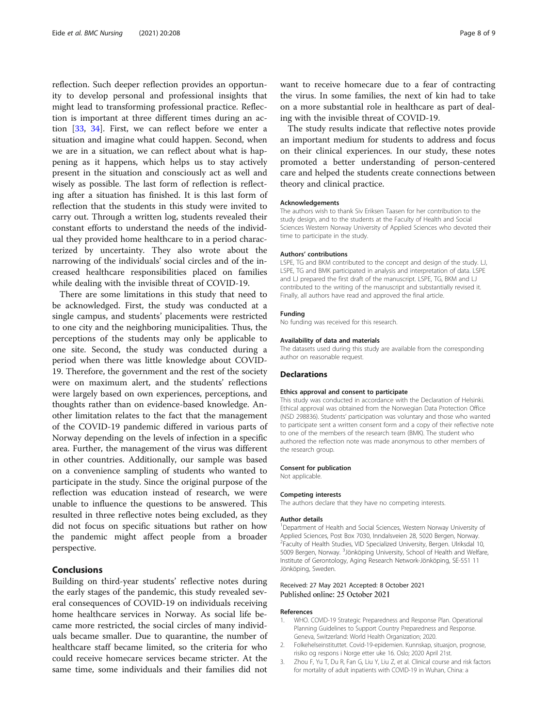<span id="page-7-0"></span>reflection. Such deeper reflection provides an opportunity to develop personal and professional insights that might lead to transforming professional practice. Reflection is important at three different times during an action [\[33](#page-8-0), [34\]](#page-8-0). First, we can reflect before we enter a situation and imagine what could happen. Second, when we are in a situation, we can reflect about what is happening as it happens, which helps us to stay actively present in the situation and consciously act as well and wisely as possible. The last form of reflection is reflecting after a situation has finished. It is this last form of reflection that the students in this study were invited to carry out. Through a written log, students revealed their constant efforts to understand the needs of the individual they provided home healthcare to in a period characterized by uncertainty. They also wrote about the narrowing of the individuals' social circles and of the increased healthcare responsibilities placed on families while dealing with the invisible threat of COVID-19.

There are some limitations in this study that need to be acknowledged. First, the study was conducted at a single campus, and students' placements were restricted to one city and the neighboring municipalities. Thus, the perceptions of the students may only be applicable to one site. Second, the study was conducted during a period when there was little knowledge about COVID-19. Therefore, the government and the rest of the society were on maximum alert, and the students' reflections were largely based on own experiences, perceptions, and thoughts rather than on evidence-based knowledge. Another limitation relates to the fact that the management of the COVID-19 pandemic differed in various parts of Norway depending on the levels of infection in a specific area. Further, the management of the virus was different in other countries. Additionally, our sample was based on a convenience sampling of students who wanted to participate in the study. Since the original purpose of the reflection was education instead of research, we were unable to influence the questions to be answered. This resulted in three reflective notes being excluded, as they did not focus on specific situations but rather on how the pandemic might affect people from a broader perspective.

## Conclusions

Building on third-year students' reflective notes during the early stages of the pandemic, this study revealed several consequences of COVID-19 on individuals receiving home healthcare services in Norway. As social life became more restricted, the social circles of many individuals became smaller. Due to quarantine, the number of healthcare staff became limited, so the criteria for who could receive homecare services became stricter. At the same time, some individuals and their families did not

want to receive homecare due to a fear of contracting the virus. In some families, the next of kin had to take on a more substantial role in healthcare as part of dealing with the invisible threat of COVID-19.

The study results indicate that reflective notes provide an important medium for students to address and focus on their clinical experiences. In our study, these notes promoted a better understanding of person-centered care and helped the students create connections between theory and clinical practice.

#### Acknowledgements

The authors wish to thank Siv Eriksen Taasen for her contribution to the study design, and to the students at the Faculty of Health and Social Sciences Western Norway University of Applied Sciences who devoted their time to participate in the study.

#### Authors' contributions

LSPE, TG and BKM contributed to the concept and design of the study. LJ, LSPE, TG and BMK participated in analysis and interpretation of data. LSPE and LJ prepared the first draft of the manuscript. LSPE, TG, BKM and LJ contributed to the writing of the manuscript and substantially revised it. Finally, all authors have read and approved the final article.

#### Funding

No funding was received for this research.

#### Availability of data and materials

The datasets used during this study are available from the corresponding author on reasonable request.

#### Declarations

#### Ethics approval and consent to participate

This study was conducted in accordance with the Declaration of Helsinki. Ethical approval was obtained from the Norwegian Data Protection Office (NSD 298836). Students' participation was voluntary and those who wanted to participate sent a written consent form and a copy of their reflective note to one of the members of the research team (BMK). The student who authored the reflection note was made anonymous to other members of the research group.

#### Consent for publication

Not applicable.

#### Competing interests

The authors declare that they have no competing interests.

#### Author details

<sup>1</sup>Department of Health and Social Sciences, Western Norway University of Applied Sciences, Post Box 7030, Inndalsveien 28, 5020 Bergen, Norway. <sup>2</sup> Faculty of Health Studies, VID Specialized University, Bergen. Ulriksdal 10 5009 Bergen, Norway. <sup>3</sup> Jönköping University, School of Health and Welfare, Institute of Gerontology, Aging Research Network-Jönköping, SE-551 11 Jönköping, Sweden.

#### Received: 27 May 2021 Accepted: 8 October 2021 Published online: 25 October 2021

#### References

- 1. WHO. COVID-19 Strategic Preparedness and Response Plan. Operational Planning Guidelines to Support Country Preparedness and Response. Geneva, Switzerland: World Health Organization; 2020.
- 2. Folkehelseinstituttet. Covid-19-epidemien. Kunnskap, situasjon, prognose, risiko og respons i Norge etter uke 16. Oslo; 2020 April 21st.
- 3. Zhou F, Yu T, Du R, Fan G, Liu Y, Liu Z, et al. Clinical course and risk factors for mortality of adult inpatients with COVID-19 in Wuhan, China: a